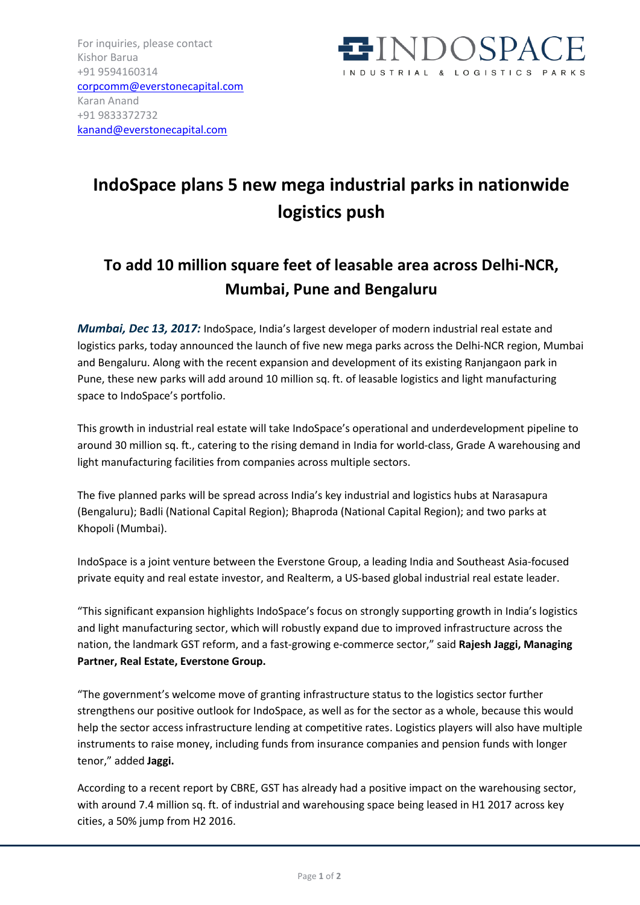

## **IndoSpace plans 5 new mega industrial parks in nationwide logistics push**

## **To add 10 million square feet of leasable area across Delhi-NCR, Mumbai, Pune and Bengaluru**

*Mumbai, Dec 13, 2017:* IndoSpace, India's largest developer of modern industrial real estate and logistics parks, today announced the launch of five new mega parks across the Delhi-NCR region, Mumbai and Bengaluru. Along with the recent expansion and development of its existing Ranjangaon park in Pune, these new parks will add around 10 million sq. ft. of leasable logistics and light manufacturing space to IndoSpace's portfolio.

This growth in industrial real estate will take IndoSpace's operational and underdevelopment pipeline to around 30 million sq. ft., catering to the rising demand in India for world-class, Grade A warehousing and light manufacturing facilities from companies across multiple sectors.

The five planned parks will be spread across India's key industrial and logistics hubs at Narasapura (Bengaluru); Badli (National Capital Region); Bhaproda (National Capital Region); and two parks at Khopoli (Mumbai).

IndoSpace is a joint venture between the Everstone Group, a leading India and Southeast Asia-focused private equity and real estate investor, and Realterm, a US-based global industrial real estate leader.

"This significant expansion highlights IndoSpace's focus on strongly supporting growth in India's logistics and light manufacturing sector, which will robustly expand due to improved infrastructure across the nation, the landmark GST reform, and a fast-growing e-commerce sector," said **Rajesh Jaggi, Managing Partner, Real Estate, Everstone Group.**

"The government's welcome move of granting infrastructure status to the logistics sector further strengthens our positive outlook for IndoSpace, as well as for the sector as a whole, because this would help the sector access infrastructure lending at competitive rates. Logistics players will also have multiple instruments to raise money, including funds from insurance companies and pension funds with longer tenor," added **Jaggi.**

According to a recent report by CBRE, GST has already had a positive impact on the warehousing sector, with around 7.4 million sq. ft. of industrial and warehousing space being leased in H1 2017 across key cities, a 50% jump from H2 2016.